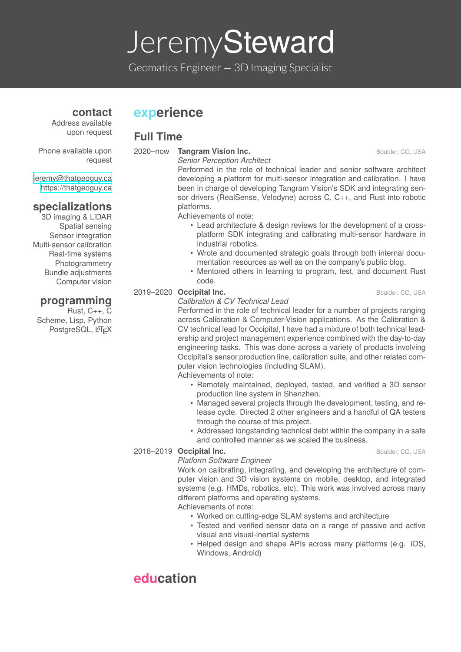# Jeremy**Steward**

Geomatics Engineer *−* 3D Imaging Specialist

### **experience**

#### **Full Time**

Phone available upon request

jeremy@thatgeoguy.ca https://thatgeoguy.ca

#### **specializations**

3D [imaging](mailto:jeremy@thatgeoguy.ca) & LiDAR Spatial [sensing](https://thatgeoguy.ca) Sensor integration Multi-sensor calibration Real-time systems **Photogrammetry** Bundle adjustments Computer vision

#### **programming**

Rust, C++, C Scheme, Lisp, Python PostgreSQL, LATEX **2020–now Tangram Vision Inc. Boulder, CO, USA** Boulder, CO, USA

*Senior Perception Architect* Performed in the role of technical leader and senior software architect developing a platform for multi-sensor integration and calibration. I have been in charge of developing Tangram Vision's SDK and integrating sensor drivers (RealSense, Velodyne) across C, C++, and Rust into robotic platforms.

Achievements of note:

- Lead architecture & design reviews for the development of a crossplatform SDK integrating and calibrating multi-sensor hardware in industrial robotics.
- Wrote and documented strategic goals through both internal documentation resources as well as on the company's public blog.
- Mentored others in learning to program, test, and document Rust code.

#### 2019–2020 **Occipital Inc.** Boulder, CO, USA

#### *Calibration & CV Technical Lead*

Performed in the role of technical leader for a number of projects ranging across Calibration & Computer-Vision applications. As the Calibration & CV technical lead for Occipital, I have had a mixture of both technical leadership and project management experience combined with the day-to-day engineering tasks. This was done across a variety of products involving Occipital's sensor production line, calibration suite, and other related computer vision technologies (including SLAM).

#### Achievements of note:

- Remotely maintained, deployed, tested, and verified a 3D sensor production line system in Shenzhen.
- Managed several projects through the development, testing, and release cycle. Directed 2 other engineers and a handful of QA testers through the course of this project.
- Addressed longstanding technical debt within the company in a safe and controlled manner as we scaled the business.

#### 2018–2019 **Occipital Inc.** Boulder, CO, USA

#### *Platform Software Engineer*

Work on calibrating, integrating, and developing the architecture of com-

puter vision and 3D vision systems on mobile, desktop, and integrated systems (e.g. HMDs, robotics, etc). This work was involved across many different platforms and operating systems.

Achievements of note:

- Worked on cutting-edge SLAM systems and architecture
- Tested and verified sensor data on a range of passive and active visual and visual-inertial systems
- Helped design and shape APIs across many platforms (e.g. iOS, Windows, Android)

# **education**

Address available upon request

**contact**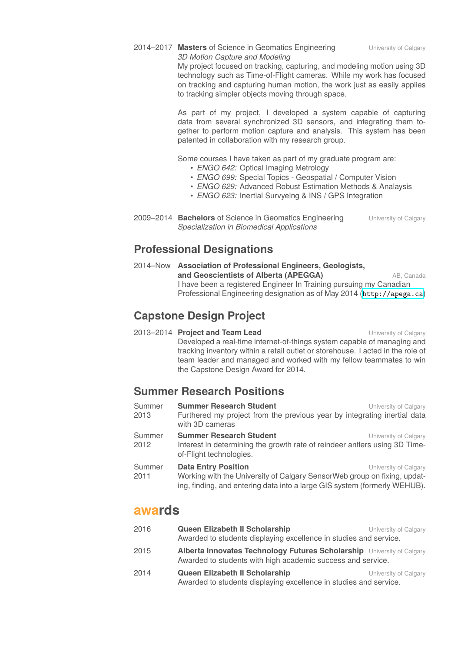2014–2017 **Masters of Science in Geomatics Engineering** University of Calgary *3D Motion Capture and Modeling*

My project focused on tracking, capturing, and modeling motion using 3D technology such as Time-of-Flight cameras. While my work has focused on tracking and capturing human motion, the work just as easily applies to tracking simpler objects moving through space.

As part of my project, I developed a system capable of capturing data from several synchronized 3D sensors, and integrating them together to perform motion capture and analysis. This system has been patented in collaboration with my research group.

Some courses I have taken as part of my graduate program are:

- *ENGO 642:* Optical Imaging Metrology
- *ENGO 699:* Special Topics Geospatial / Computer Vision
- *ENGO 629:* Advanced Robust Estimation Methods & Analaysis
- *ENGO 623:* Inertial Survyeing & INS / GPS Integration
- 2009-2014 **Bachelors** of Science in Geomatics Engineering University of Calgary *Specialization in Biomedical Applications*

### **Professional Designations**

2014–Now **Association of Professional Engineers, Geologists, and Geoscientists of Alberta (APEGGA)** AB, Canada I have been a registered Engineer In Training pursuing my Canadian Professional Engineering designation as of May 2014 (http://apega.ca)

### **Capstone Design Project**

**2013–2014 Project and Team Lead Example 2013–2014** [University](http://apega.ca) of Calgary Developed a real-time internet-of-things system capable of managing and tracking inventory within a retail outlet or storehouse. I acted in the role of team leader and managed and worked with my fellow teammates to win the Capstone Design Award for 2014.

### **Summer Research Positions**

| Summer<br>2013 | <b>Summer Research Student</b><br>Furthered my project from the previous year by integrating inertial data<br>with 3D cameras                                                       | University of Calgary |
|----------------|-------------------------------------------------------------------------------------------------------------------------------------------------------------------------------------|-----------------------|
| Summer<br>2012 | <b>Summer Research Student</b><br>Interest in determining the growth rate of reindeer antlers using 3D Time-<br>of-Flight technologies.                                             | University of Calgary |
| Summer<br>2011 | <b>Data Entry Position</b><br>Working with the University of Calgary SensorWeb group on fixing, updat-<br>ing, finding, and entering data into a large GIS system (formerly WEHUB). | University of Calgary |

#### **awards**

| 2016 | Queen Elizabeth II Scholarship<br>Awarded to students displaying excellence in studies and service.                                   | University of Calgary |  |
|------|---------------------------------------------------------------------------------------------------------------------------------------|-----------------------|--|
| 2015 | Alberta Innovates Technology Futures Scholarship University of Calgary<br>Awarded to students with high academic success and service. |                       |  |
| 2014 | Queen Elizabeth II Scholarship<br>Awarded to students displaying excellence in studies and service.                                   | University of Calgary |  |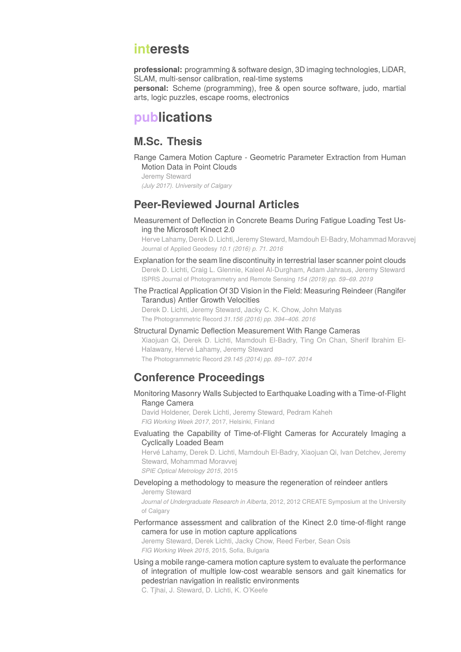### **interests**

**professional:** programming & software design, 3D imaging technologies, LiDAR, SLAM, multi-sensor calibration, real-time systems **personal:** Scheme (programming), free & open source software, judo, martial arts, logic puzzles, escape rooms, electronics

## **publications**

### **M.Sc. Thesis**

Range Camera Motion Capture - Geometric Parameter Extraction from Human Motion Data in Point Clouds

```
Jeremy Steward
```
*(July 2017). University of Calgary*

### **Peer-Reviewed Journal Articles**

Measurement of Deflection in Concrete Beams During Fatigue Loading Test Using the Microsoft Kinect 2.0

Herve Lahamy, Derek D. Lichti, Jeremy Steward, Mamdouh El-Badry, Mohammad Moravvej Journal of Applied Geodesy *10.1 (2016) p. 71. 2016*

- Explanation for the seam line discontinuity in terrestrial laser scanner point clouds Derek D. Lichti, Craig L. Glennie, Kaleel Al-Durgham, Adam Jahraus, Jeremy Steward ISPRS Journal of Photogrammetry and Remote Sensing *154 (2019) pp. 59–69. 2019*
- The Practical Application Of 3D Vision in the Field: Measuring Reindeer (Rangifer Tarandus) Antler Growth Velocities

Derek D. Lichti, Jeremy Steward, Jacky C. K. Chow, John Matyas The Photogrammetric Record *31.156 (2016) pp. 394–406. 2016*

Structural Dynamic Deflection Measurement With Range Cameras Xiaojuan Qi, Derek D. Lichti, Mamdouh El-Badry, Ting On Chan, Sherif Ibrahim El-Halawany, Hervé Lahamy, Jeremy Steward The Photogrammetric Record *29.145 (2014) pp. 89–107. 2014*

### **Conference Proceedings**

Monitoring Masonry Walls Subjected to Earthquake Loading with a Time-of-Flight Range Camera

David Holdener, Derek Lichti, Jeremy Steward, Pedram Kaheh *FIG Working Week 2017*, 2017, Helsinki, Finland

Evaluating the Capability of Time-of-Flight Cameras for Accurately Imaging a Cyclically Loaded Beam

Hervé Lahamy, Derek D. Lichti, Mamdouh El-Badry, Xiaojuan Qi, Ivan Detchev, Jeremy Steward, Mohammad Moravvej

*SPIE Optical Metrology 2015*, 2015

#### Developing a methodology to measure the regeneration of reindeer antlers

Jeremy Steward

*Journal of Undergraduate Research in Alberta*, 2012, 2012 CREATE Symposium at the University of Calgary

Performance assessment and calibration of the Kinect 2.0 time-of-flight range camera for use in motion capture applications

Jeremy Steward, Derek Lichti, Jacky Chow, Reed Ferber, Sean Osis *FIG Working Week 2015*, 2015, Sofia, Bulgaria

Using a mobile range-camera motion capture system to evaluate the performance of integration of multiple low-cost wearable sensors and gait kinematics for pedestrian navigation in realistic environments

C. Tjhai, J. Steward, D. Lichti, K. O'Keefe